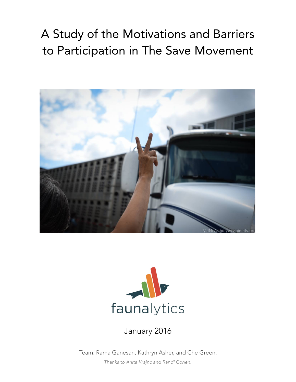# A Study of the Motivations and Barriers to Participation in The Save Movement





### January 2016

Team: Rama Ganesan, Kathryn Asher, and Che Green.

*Thanks to Anita Krajnc and Randi Cohen.*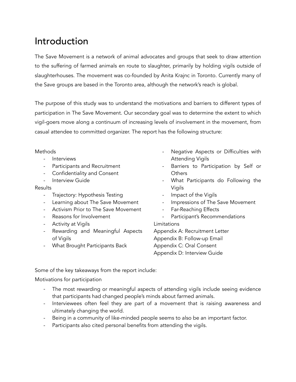### Introduction

The Save Movement is a network of animal advocates and groups that seek to draw attention to the suffering of farmed animals en route to slaughter, primarily by holding vigils outside of slaughterhouses. The movement was co-founded by Anita Krajnc in Toronto. Currently many of the Save groups are based in the Toronto area, although the network's reach is global.

The purpose of this study was to understand the motivations and barriers to different types of participation in The Save Movement. Our secondary goal was to determine the extent to which vigil-goers move along a continuum of increasing levels of involvement in the movement, from casual attendee to committed organizer. The report has the following structure:

#### **Methods**

- Interviews
- Participants and Recruitment
- Confidentiality and Consent
- Interview Guide

#### Results

- Trajectory: Hypothesis Testing
- Learning about The Save Movement
- Activism Prior to The Save Movement
- Reasons for Involvement
- Activity at Vigils
- Rewarding and Meaningful Aspects of Vigils
- What Brought Participants Back
- Negative Aspects or Difficulties with Attending Vigils
- Barriers to Participation by Self or **Others**
- What Participants do Following the Vigils
- Impact of the Vigils
- Impressions of The Save Movement
- Far-Reaching Effects
- Participant's Recommendations

Limitations

Appendix A: Recruitment Letter Appendix B: Follow-up Email Appendix C: Oral Consent Appendix D: Interview Guide

Some of the key takeaways from the report include:

Motivations for participation

- The most rewarding or meaningful aspects of attending vigils include seeing evidence that participants had changed people's minds about farmed animals.
- Interviewees often feel they are part of a movement that is raising awareness and ultimately changing the world.
- Being in a community of like-minded people seems to also be an important factor.
- Participants also cited personal benefits from attending the vigils.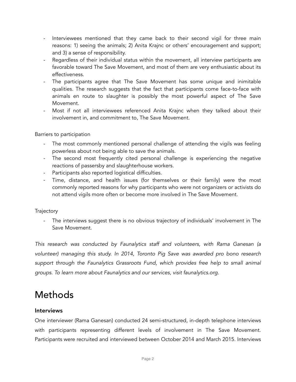- Interviewees mentioned that they came back to their second vigil for three main reasons: 1) seeing the animals; 2) Anita Krajnc or others' encouragement and support; and 3) a sense of responsibility.
- Regardless of their individual status within the movement, all interview participants are favorable toward The Save Movement, and most of them are very enthusiastic about its effectiveness.
- The participants agree that The Save Movement has some unique and inimitable qualities. The research suggests that the fact that participants come face-to-face with animals en route to slaughter is possibly the most powerful aspect of The Save Movement.
- Most if not all interviewees referenced Anita Krajnc when they talked about their involvement in, and commitment to, The Save Movement.

#### Barriers to participation

- The most commonly mentioned personal challenge of attending the vigils was feeling powerless about not being able to save the animals.
- The second most frequently cited personal challenge is experiencing the negative reactions of passersby and slaughterhouse workers.
- Participants also reported logistical difficulties.
- Time, distance, and health issues (for themselves or their family) were the most commonly reported reasons for why participants who were not organizers or activists do not attend vigils more often or become more involved in The Save Movement.

#### **Trajectory**

The interviews suggest there is no obvious trajectory of individuals' involvement in The Save Movement.

*This research was conducted by Faunalytics staff and volunteers, with Rama Ganesan (a volunteer) managing this study. In 2014, Toronto Pig Save was awarded pro bono research support through the Faunalytics Grassroots Fund, which provides free help to small animal groups. To learn more about Faunalytics and our services, visit faunalytics.org.* 

### Methods

#### Interviews

One interviewer (Rama Ganesan) conducted 24 semi-structured, in-depth telephone interviews with participants representing different levels of involvement in The Save Movement. Participants were recruited and interviewed between October 2014 and March 2015. Interviews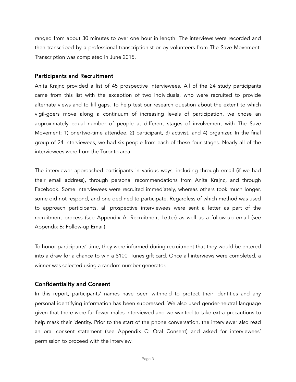ranged from about 30 minutes to over one hour in length. The interviews were recorded and then transcribed by a professional transcriptionist or by volunteers from The Save Movement. Transcription was completed in June 2015.

#### Participants and Recruitment

Anita Krajnc provided a list of 45 prospective interviewees. All of the 24 study participants came from this list with the exception of two individuals, who were recruited to provide alternate views and to fill gaps. To help test our research question about the extent to which vigil-goers move along a continuum of increasing levels of participation, we chose an approximately equal number of people at different stages of involvement with The Save Movement: 1) one/two-time attendee, 2) participant, 3) activist, and 4) organizer. In the final group of 24 interviewees, we had six people from each of these four stages. Nearly all of the interviewees were from the Toronto area.

The interviewer approached participants in various ways, including through email (if we had their email address), through personal recommendations from Anita Krajnc, and through Facebook. Some interviewees were recruited immediately, whereas others took much longer, some did not respond, and one declined to participate. Regardless of which method was used to approach participants, all prospective interviewees were sent a letter as part of the recruitment process (see Appendix A: Recruitment Letter) as well as a follow-up email (see Appendix B: Follow-up Email).

To honor participants' time, they were informed during recruitment that they would be entered into a draw for a chance to win a \$100 iTunes gift card. Once all interviews were completed, a winner was selected using a random number generator.

#### Confidentiality and Consent

In this report, participants' names have been withheld to protect their identities and any personal identifying information has been suppressed. We also used gender-neutral language given that there were far fewer males interviewed and we wanted to take extra precautions to help mask their identity. Prior to the start of the phone conversation, the interviewer also read an oral consent statement (see Appendix C: Oral Consent) and asked for interviewees' permission to proceed with the interview.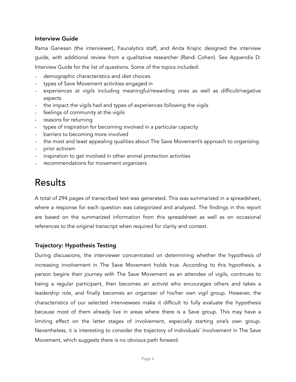#### Interview Guide

Rama Ganesan (the interviewer), Faunalytics staff, and Anita Krajnc designed the interview guide, with additional review from a qualitative researcher (Randi Cohen). See Appendix D: Interview Guide for the list of questions. Some of the topics included:

- demographic characteristics and diet choices
- types of Save Movement activities engaged in
- experiences at vigils including meaningful/rewarding ones as well as difficult/negative aspects
- the impact the vigils had and types of experiences following the vigils
- feelings of community at the vigils
- reasons for returning
- types of inspiration for becoming involved in a particular capacity
- barriers to becoming more involved
- the most and least appealing qualities about The Save Movement's approach to organizing
- prior activism
- inspiration to get involved in other animal protection activities
- recommendations for movement organizers

### Results

A total of 294 pages of transcribed text was generated. This was summarized in a spreadsheet, where a response for each question was categorized and analyzed. The findings in this report are based on the summarized information from this spreadsheet as well as on occasional references to the original transcript when required for clarity and context.

#### Trajectory: Hypothesis Testing

During discussions, the interviewer concentrated on determining whether the hypothesis of increasing involvement in The Save Movement holds true. According to this hypothesis, a person begins their journey with The Save Movement as an attendee of vigils, continues to being a regular participant, then becomes an activist who encourages others and takes a leadership role, and finally becomes an organizer of his/her own vigil group. However, the characteristics of our selected interviewees make it difficult to fully evaluate the hypothesis because most of them already live in areas where there is a Save group. This may have a limiting effect on the latter stages of involvement, especially starting one's own group. Nevertheless, it is interesting to consider the trajectory of individuals' involvement in The Save Movement, which suggests there is no obvious path forward.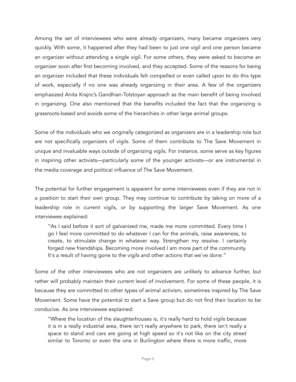Among the set of interviewees who were already organizers, many became organizers very quickly. With some, it happened after they had been to just one vigil and one person became an organizer without attending a single vigil. For some others, they were asked to become an organizer soon after first becoming involved, and they accepted. Some of the reasons for being an organizer included that these individuals felt compelled or even called upon to do this type of work, especially if no one was already organizing in their area. A few of the organizers emphasized Anita Krajnc's Gandhian-Tolstoyan approach as the main benefit of being involved in organizing. One also mentioned that the benefits included the fact that the organizing is grassroots-based and avoids some of the hierarchies in other large animal groups.

Some of the individuals who we originally categorized as organizers are in a leadership role but are not specifically organizers of vigils. Some of them contribute to The Save Movement in unique and invaluable ways outside of organizing vigils. For instance, some serve as key figures in inspiring other activists—particularly some of the younger activists—or are instrumental in the media coverage and political influence of The Save Movement.

The potential for further engagement is apparent for some interviewees even if they are not in a position to start their own group. They may continue to contribute by taking on more of a leadership role in current vigils, or by supporting the larger Save Movement. As one interviewee explained:

"As I said before it sort of galvanized me, made me more committed. Every time I go I feel more committed to do whatever I can for the animals, raise awareness, to create, to stimulate change in whatever way. Strengthen my resolve. I certainly forged new friendships. Becoming more involved I am more part of the community. It's a result of having gone to the vigils and other actions that we've done."

Some of the other interviewees who are not organizers are unlikely to advance further, but rather will probably maintain their current level of involvement. For some of these people, it is because they are committed to other types of animal activism, sometimes inspired by The Save Movement. Some have the potential to start a Save group but do not find their location to be conducive. As one interviewee explained:

"Where the location of the slaughterhouses is, it's really hard to hold vigils because it is in a really industrial area, there isn't really anywhere to park, there isn't really a space to stand and cars are going at high speed so it's not like on the city street similar to Toronto or even the one in Burlington where there is more traffic, more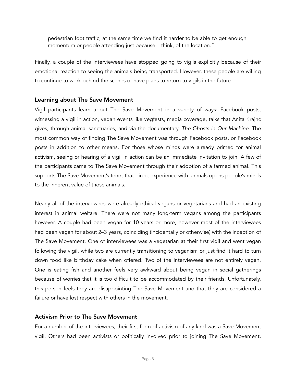pedestrian foot traffic, at the same time we find it harder to be able to get enough momentum or people attending just because, I think, of the location."

Finally, a couple of the interviewees have stopped going to vigils explicitly because of their emotional reaction to seeing the animals being transported. However, these people are willing to continue to work behind the scenes or have plans to return to vigils in the future.

#### Learning about The Save Movement

Vigil participants learn about The Save Movement in a variety of ways: Facebook posts, witnessing a vigil in action, vegan events like vegfests, media coverage, talks that Anita Krajnc gives, through animal sanctuaries, and via the documentary, *The Ghosts in Our Machine*. The most common way of finding The Save Movement was through Facebook posts, or Facebook posts in addition to other means. For those whose minds were already primed for animal activism, seeing or hearing of a vigil in action can be an immediate invitation to join. A few of the participants came to The Save Movement through their adoption of a farmed animal. This supports The Save Movement's tenet that direct experience with animals opens people's minds to the inherent value of those animals.

Nearly all of the interviewees were already ethical vegans or vegetarians and had an existing interest in animal welfare. There were not many long-term vegans among the participants however. A couple had been vegan for 10 years or more, however most of the interviewees had been vegan for about 2–3 years, coinciding (incidentally or otherwise) with the inception of The Save Movement. One of interviewees was a vegetarian at their first vigil and went vegan following the vigil, while two are currently transitioning to veganism or just find it hard to turn down food like birthday cake when offered. Two of the interviewees are not entirely vegan. One is eating fish and another feels very awkward about being vegan in social gatherings because of worries that it is too difficult to be accommodated by their friends. Unfortunately, this person feels they are disappointing The Save Movement and that they are considered a failure or have lost respect with others in the movement.

#### Activism Prior to The Save Movement

For a number of the interviewees, their first form of activism of any kind was a Save Movement vigil. Others had been activists or politically involved prior to joining The Save Movement,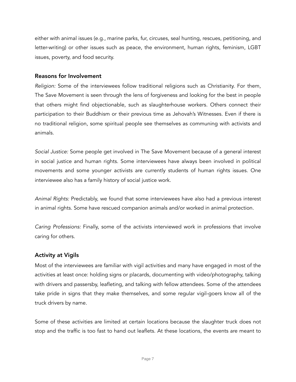either with animal issues (e.g., marine parks, fur, circuses, seal hunting, rescues, petitioning, and letter-writing) or other issues such as peace, the environment, human rights, feminism, LGBT issues, poverty, and food security.

#### Reasons for Involvement

*Religion:* Some of the interviewees follow traditional religions such as Christianity. For them, The Save Movement is seen through the lens of forgiveness and looking for the best in people that others might find objectionable, such as slaughterhouse workers. Others connect their participation to their Buddhism or their previous time as Jehovah's Witnesses. Even if there is no traditional religion, some spiritual people see themselves as communing with activists and animals.

*Social Justice:* Some people get involved in The Save Movement because of a general interest in social justice and human rights. Some interviewees have always been involved in political movements and some younger activists are currently students of human rights issues. One interviewee also has a family history of social justice work.

*Animal Rights:* Predictably, we found that some interviewees have also had a previous interest in animal rights. Some have rescued companion animals and/or worked in animal protection.

*Caring Professions:* Finally, some of the activists interviewed work in professions that involve caring for others.

#### Activity at Vigils

Most of the interviewees are familiar with vigil activities and many have engaged in most of the activities at least once: holding signs or placards, documenting with video/photography, talking with drivers and passersby, leafleting, and talking with fellow attendees. Some of the attendees take pride in signs that they make themselves, and some regular vigil-goers know all of the truck drivers by name.

Some of these activities are limited at certain locations because the slaughter truck does not stop and the traffic is too fast to hand out leaflets. At these locations, the events are meant to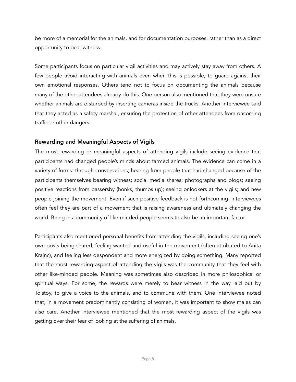be more of a memorial for the animals, and for documentation purposes, rather than as a direct opportunity to bear witness.

Some participants focus on particular vigil activities and may actively stay away from others. A few people avoid interacting with animals even when this is possible, to guard against their own emotional responses. Others tend not to focus on documenting the animals because many of the other attendees already do this. One person also mentioned that they were unsure whether animals are disturbed by inserting cameras inside the trucks. Another interviewee said that they acted as a safety marshal, ensuring the protection of other attendees from oncoming traffic or other dangers.

#### Rewarding and Meaningful Aspects of Vigils

The most rewarding or meaningful aspects of attending vigils include seeing evidence that participants had changed people's minds about farmed animals. The evidence can come in a variety of forms: through conversations; hearing from people that had changed because of the participants themselves bearing witness; social media shares; photographs and blogs; seeing positive reactions from passersby (honks, thumbs up); seeing onlookers at the vigils; and new people joining the movement. Even if such positive feedback is not forthcoming, interviewees often feel they are part of a movement that is raising awareness and ultimately changing the world. Being in a community of like-minded people seems to also be an important factor.

Participants also mentioned personal benefits from attending the vigils, including seeing one's own posts being shared, feeling wanted and useful in the movement (often attributed to Anita Krajnc), and feeling less despondent and more energized by doing something. Many reported that the most rewarding aspect of attending the vigils was the community that they feel with other like-minded people. Meaning was sometimes also described in more philosophical or spiritual ways. For some, the rewards were merely to bear witness in the way laid out by Tolstoy, to give a voice to the animals, and to commune with them. One interviewee noted that, in a movement predominantly consisting of women, it was important to show males can also care. Another interviewee mentioned that the most rewarding aspect of the vigils was getting over their fear of looking at the suffering of animals.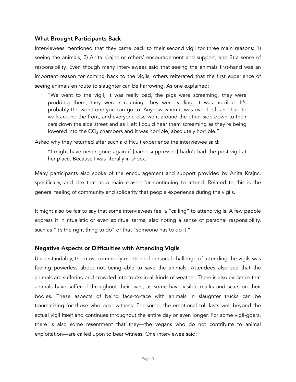#### What Brought Participants Back

Interviewees mentioned that they came back to their second vigil for three main reasons: 1) seeing the animals; 2) Anita Krajnc or others' encouragement and support; and 3) a sense of responsibility. Even though many interviewees said that seeing the animals first-hand was an important reason for coming back to the vigils, others reiterated that the first experience of seeing animals en route to slaughter can be harrowing. As one explained:

"We went to the vigil, it was really bad, the pigs were screaming, they were prodding them, they were screaming, they were yelling, it was horrible. It's probably the worst one you can go to. Anyhow when it was over I left and had to walk around the front, and everyone else went around the other side down to their cars down the side street and as I left I could hear them screaming as they're being lowered into the  $CO<sub>2</sub>$  chambers and it was horrible, absolutely horrible."

Asked why they returned after such a difficult experience the interviewee said:

"I might have never gone again if [name suppressed] hadn't had the post-vigil at her place. Because I was literally in shock."

Many participants also spoke of the encouragement and support provided by Anita Krajnc, specifically, and cite that as a main reason for continuing to attend. Related to this is the general feeling of community and solidarity that people experience during the vigils.

It might also be fair to say that some interviewees feel a "calling" to attend vigils. A few people express it in ritualistic or even spiritual terms, also noting a sense of personal responsibility, such as "it's the right thing to do" or that "someone has to do it."

#### Negative Aspects or Difficulties with Attending Vigils

Understandably, the most commonly mentioned personal challenge of attending the vigils was feeling powerless about not being able to save the animals. Attendees also see that the animals are suffering and crowded into trucks in all kinds of weather. There is also evidence that animals have suffered throughout their lives, as some have visible marks and scars on their bodies. These aspects of being face-to-face with animals in slaughter trucks can be traumatizing for those who bear witness. For some, the emotional toll lasts well beyond the actual vigil itself and continues throughout the entire day or even longer. For some vigil-goers, there is also some resentment that they—the vegans who do not contribute to animal exploitation—are called upon to bear witness. One interviewee said: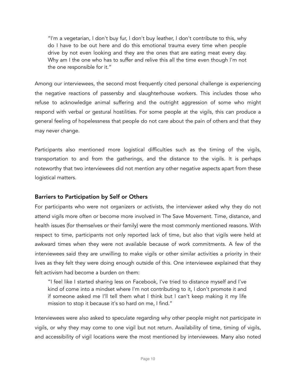"I'm a vegetarian, I don't buy fur, I don't buy leather, I don't contribute to this, why do I have to be out here and do this emotional trauma every time when people drive by not even looking and they are the ones that are eating meat every day. Why am I the one who has to suffer and relive this all the time even though I'm not the one responsible for it."

Among our interviewees, the second most frequently cited personal challenge is experiencing the negative reactions of passersby and slaughterhouse workers. This includes those who refuse to acknowledge animal suffering and the outright aggression of some who might respond with verbal or gestural hostilities. For some people at the vigils, this can produce a general feeling of hopelessness that people do not care about the pain of others and that they may never change.

Participants also mentioned more logistical difficulties such as the timing of the vigils, transportation to and from the gatherings, and the distance to the vigils. It is perhaps noteworthy that two interviewees did not mention any other negative aspects apart from these logistical matters.

#### Barriers to Participation by Self or Others

For participants who were not organizers or activists, the interviewer asked why they do not attend vigils more often or become more involved in The Save Movement. Time, distance, and health issues (for themselves or their family) were the most commonly mentioned reasons. With respect to time, participants not only reported lack of time, but also that vigils were held at awkward times when they were not available because of work commitments. A few of the interviewees said they are unwilling to make vigils or other similar activities a priority in their lives as they felt they were doing enough outside of this. One interviewee explained that they felt activism had become a burden on them:

"I feel like I started sharing less on Facebook, I've tried to distance myself and I've kind of come into a mindset where I'm not contributing to it, I don't promote it and if someone asked me I'll tell them what I think but I can't keep making it my life mission to stop it because it's so hard on me, I find."

Interviewees were also asked to speculate regarding why other people might not participate in vigils, or why they may come to one vigil but not return. Availability of time, timing of vigils, and accessibility of vigil locations were the most mentioned by interviewees. Many also noted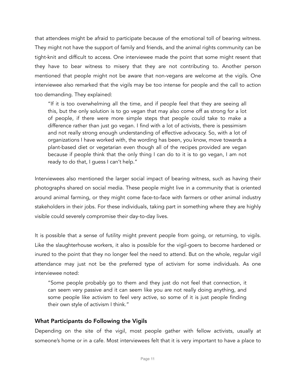that attendees might be afraid to participate because of the emotional toll of bearing witness. They might not have the support of family and friends, and the animal rights community can be tight-knit and difficult to access. One interviewee made the point that some might resent that they have to bear witness to misery that they are not contributing to. Another person mentioned that people might not be aware that non-vegans are welcome at the vigils. One interviewee also remarked that the vigils may be too intense for people and the call to action too demanding. They explained:

"If it is too overwhelming all the time, and if people feel that they are seeing all this, but the only solution is to go vegan that may also come off as strong for a lot of people, if there were more simple steps that people could take to make a difference rather than just go vegan. I find with a lot of activists, there is pessimism and not really strong enough understanding of effective advocacy. So, with a lot of organizations I have worked with, the wording has been, you know, move towards a plant-based diet or vegetarian even though all of the recipes provided are vegan because if people think that the only thing I can do to it is to go vegan, I am not ready to do that, I guess I can't help."

Interviewees also mentioned the larger social impact of bearing witness, such as having their photographs shared on social media. These people might live in a community that is oriented around animal farming, or they might come face-to-face with farmers or other animal industry stakeholders in their jobs. For these individuals, taking part in something where they are highly visible could severely compromise their day-to-day lives.

It is possible that a sense of futility might prevent people from going, or returning, to vigils. Like the slaughterhouse workers, it also is possible for the vigil-goers to become hardened or inured to the point that they no longer feel the need to attend. But on the whole, regular vigil attendance may just not be the preferred type of activism for some individuals. As one interviewee noted:

"Some people probably go to them and they just do not feel that connection, it can seem very passive and it can seem like you are not really doing anything, and some people like activism to feel very active, so some of it is just people finding their own style of activism I think."

#### What Participants do Following the Vigils

Depending on the site of the vigil, most people gather with fellow activists, usually at someone's home or in a cafe. Most interviewees felt that it is very important to have a place to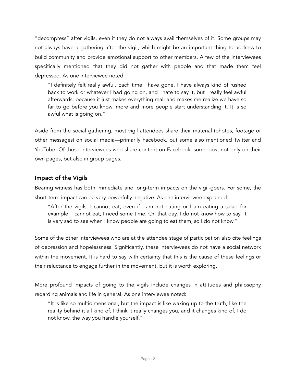"decompress" after vigils, even if they do not always avail themselves of it. Some groups may not always have a gathering after the vigil, which might be an important thing to address to build community and provide emotional support to other members. A few of the interviewees specifically mentioned that they did not gather with people and that made them feel depressed. As one interviewee noted:

"I definitely felt really awful. Each time I have gone, I have always kind of rushed back to work or whatever I had going on, and I hate to say it, but I really feel awful afterwards, because it just makes everything real, and makes me realize we have so far to go before you know, more and more people start understanding it. It is so awful what is going on."

Aside from the social gathering, most vigil attendees share their material (photos, footage or other messages) on social media—primarily Facebook, but some also mentioned Twitter and YouTube. Of those interviewees who share content on Facebook, some post not only on their own pages, but also in group pages.

#### Impact of the Vigils

Bearing witness has both immediate and long-term impacts on the vigil-goers. For some, the short-term impact can be very powerfully negative. As one interviewee explained:

"After the vigils, I cannot eat, even if I am not eating or I am eating a salad for example, I cannot eat, I need some time. On that day, I do not know how to say. It is very sad to see when I know people are going to eat them, so I do not know."

Some of the other interviewees who are at the attendee stage of participation also cite feelings of depression and hopelessness. Significantly, these interviewees do not have a social network within the movement. It is hard to say with certainty that this is the cause of these feelings or their reluctance to engage further in the movement, but it is worth exploring.

More profound impacts of going to the vigils include changes in attitudes and philosophy regarding animals and life in general. As one interviewee noted:

"It is like so multidimensional, but the impact is like waking up to the truth, like the reality behind it all kind of, I think it really changes you, and it changes kind of, I do not know, the way you handle yourself."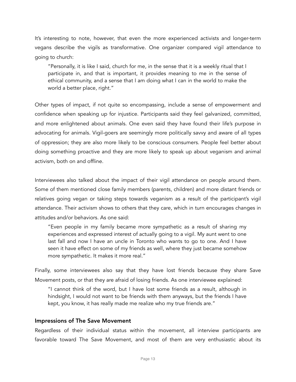It's interesting to note, however, that even the more experienced activists and longer-term vegans describe the vigils as transformative. One organizer compared vigil attendance to going to church:

"Personally, it is like I said, church for me, in the sense that it is a weekly ritual that I participate in, and that is important, it provides meaning to me in the sense of ethical community, and a sense that I am doing what I can in the world to make the world a better place, right."

Other types of impact, if not quite so encompassing, include a sense of empowerment and confidence when speaking up for injustice. Participants said they feel galvanized, committed, and more enlightened about animals. One even said they have found their life's purpose in advocating for animals. Vigil-goers are seemingly more politically savvy and aware of all types of oppression; they are also more likely to be conscious consumers. People feel better about doing something proactive and they are more likely to speak up about veganism and animal activism, both on and offline.

Interviewees also talked about the impact of their vigil attendance on people around them. Some of them mentioned close family members (parents, children) and more distant friends or relatives going vegan or taking steps towards veganism as a result of the participant's vigil attendance. Their activism shows to others that they care, which in turn encourages changes in attitudes and/or behaviors. As one said:

"Even people in my family became more sympathetic as a result of sharing my experiences and expressed interest of actually going to a vigil. My aunt went to one last fall and now I have an uncle in Toronto who wants to go to one. And I have seen it have effect on some of my friends as well, where they just became somehow more sympathetic. It makes it more real."

Finally, some interviewees also say that they have lost friends because they share Save Movement posts, or that they are afraid of losing friends. As one interviewee explained:

"I cannot think of the word, but I have lost some friends as a result, although in hindsight, I would not want to be friends with them anyways, but the friends I have kept, you know, it has really made me realize who my true friends are."

#### Impressions of The Save Movement

Regardless of their individual status within the movement, all interview participants are favorable toward The Save Movement, and most of them are very enthusiastic about its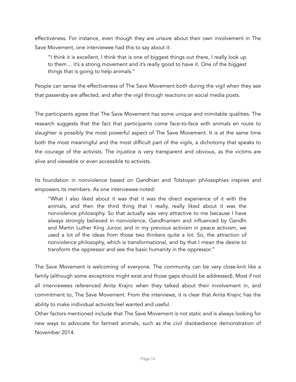effectiveness. For instance, even though they are unsure about their own involvement in The Save Movement, one interviewee had this to say about it:

"I think it is excellent, I think that is one of biggest things out there, I really look up to them… it's a strong movement and it's really good to have it. One of the biggest things that is going to help animals."

People can sense the effectiveness of The Save Movement both during the vigil when they see that passersby are affected, and after the vigil through reactions on social media posts.

The participants agree that The Save Movement has some unique and inimitable qualities. The research suggests that the fact that participants come face-to-face with animals en route to slaughter is possibly the most powerful aspect of The Save Movement. It is at the same time both the most meaningful and the most difficult part of the vigils, a dichotomy that speaks to the courage of the activists. The injustice is very transparent and obvious, as the victims are alive and viewable or even accessible to activists.

Its foundation in nonviolence based on Gandhian and Tolstoyan philosophies inspires and empowers its members. As one interviewee noted:

"What I also liked about it was that it was the direct experience of it with the animals, and then the third thing that I really, really liked about it was the nonviolence philosophy. So that actually was very attractive to me because I have always strongly believed in nonviolence, Gandhianism and influenced by Gandhi and Martin Luther King Junior, and in my previous activism in peace activism, we used a lot of the ideas from those two thinkers quite a lot. So, the attraction of nonviolence philosophy, which is transformational, and by that I mean the desire to transform the oppressor and see the basic humanity in the oppressor."

The Save Movement is welcoming of everyone. The community can be very close-knit like a family (although some exceptions might exist and those gaps should be addressed). Most if not all interviewees referenced Anita Krajnc when they talked about their involvement in, and commitment to, The Save Movement. From the interviews, it is clear that Anita Krajnc has the ability to make individual activists feel wanted and useful.

Other factors mentioned include that The Save Movement is not static and is always looking for new ways to advocate for farmed animals, such as the civil disobedience demonstration of November 2014.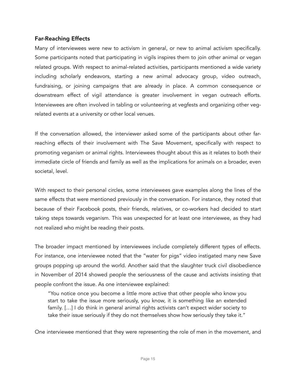#### Far-Reaching Effects

Many of interviewees were new to activism in general, or new to animal activism specifically. Some participants noted that participating in vigils inspires them to join other animal or vegan related groups. With respect to animal-related activities, participants mentioned a wide variety including scholarly endeavors, starting a new animal advocacy group, video outreach, fundraising, or joining campaigns that are already in place. A common consequence or downstream effect of vigil attendance is greater involvement in vegan outreach efforts. Interviewees are often involved in tabling or volunteering at vegfests and organizing other vegrelated events at a university or other local venues.

If the conversation allowed, the interviewer asked some of the participants about other farreaching effects of their involvement with The Save Movement, specifically with respect to promoting veganism or animal rights. Interviewees thought about this as it relates to both their immediate circle of friends and family as well as the implications for animals on a broader, even societal, level.

With respect to their personal circles, some interviewees gave examples along the lines of the same effects that were mentioned previously in the conversation. For instance, they noted that because of their Facebook posts, their friends, relatives, or co-workers had decided to start taking steps towards veganism. This was unexpected for at least one interviewee, as they had not realized who might be reading their posts.

The broader impact mentioned by interviewees include completely different types of effects. For instance, one interviewee noted that the "water for pigs" video instigated many new Save groups popping up around the world. Another said that the slaughter truck civil disobedience in November of 2014 showed people the seriousness of the cause and activists insisting that people confront the issue. As one interviewee explained:

"You notice once you become a little more active that other people who know you start to take the issue more seriously, you know, it is something like an extended family. […] I do think in general animal rights activists can't expect wider society to take their issue seriously if they do not themselves show how seriously they take it."

One interviewee mentioned that they were representing the role of men in the movement, and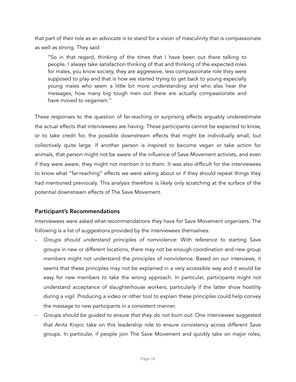that part of their role as an advocate is to stand for a vision of masculinity that is compassionate as well as strong. They said:

"So in that regard, thinking of the times that I have been out there talking to people, I always take satisfaction thinking of that and thinking of the expected roles for males, you know society, they are aggressive, less compassionate role they were supposed to play and that is how we started trying to get back to young especially young males who seem a little bit more understanding and who also hear the messages, how many big tough men out there are actually compassionate and have moved to veganism."

These responses to the question of far-reaching or surprising effects arguably underestimate the actual effects that interviewees are having. These participants cannot be expected to know, or to take credit for, the possible downstream effects that might be individually small, but collectively quite large. If another person is inspired to become vegan or take action for animals, that person might not be aware of the influence of Save Movement activists, and even if they were aware, they might not mention it to them. It was also difficult for the interviewees to know what "far-reaching" effects we were asking about or if they should repeat things they had mentioned previously. This analysis therefore is likely only scratching at the surface of the potential downstream effects of The Save Movement.

#### Participant's Recommendations

Interviewees were asked what recommendations they have for Save Movement organizers. The following is a list of suggestions provided by the interviewees themselves.

- *Groups should understand principles of nonviolence*: With reference to starting Save groups in new or different locations, there may not be enough coordination and new group members might not understand the principles of nonviolence. Based on our interviews, it seems that these principles may not be explained in a very accessible way and it would be easy for new members to take the wrong approach. In particular, participants might not understand acceptance of slaughterhouse workers, particularly if the latter show hostility during a vigil. Producing a video or other tool to explain these principles could help convey the message to new participants in a consistent manner.
- *Groups should be guided to ensure that they do not burn out*: One interviewee suggested that Anita Krajnc take on this leadership role to ensure consistency across different Save groups. In particular, if people join The Save Movement and quickly take on major roles,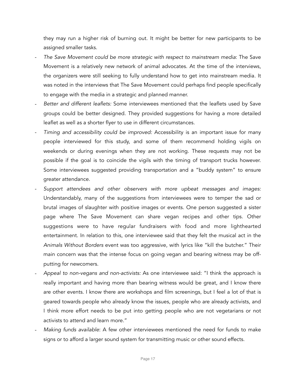they may run a higher risk of burning out. It might be better for new participants to be assigned smaller tasks.

- *The Save Movement could be more strategic with respect to mainstream media*: The Save Movement is a relatively new network of animal advocates. At the time of the interviews, the organizers were still seeking to fully understand how to get into mainstream media. It was noted in the interviews that The Save Movement could perhaps find people specifically to engage with the media in a strategic and planned manner.
- *Better and different leaflets:* Some interviewees mentioned that the leaflets used by Save groups could be better designed. They provided suggestions for having a more detailed leaflet as well as a shorter flyer to use in different circumstances.
- *Timing and accessibility could be improved:* Accessibility is an important issue for many people interviewed for this study, and some of them recommend holding vigils on weekends or during evenings when they are not working. These requests may not be possible if the goal is to coincide the vigils with the timing of transport trucks however. Some interviewees suggested providing transportation and a "buddy system" to ensure greater attendance.
- *Support attendees and other observers with more upbeat messages and images:* Understandably, many of the suggestions from interviewees were to temper the sad or brutal images of slaughter with positive images or events. One person suggested a sister page where The Save Movement can share vegan recipes and other tips. Other suggestions were to have regular fundraisers with food and more lighthearted entertainment. In relation to this, one interviewee said that they felt the musical act in the *Animals Without Borders* event was too aggressive, with lyrics like "kill the butcher." Their main concern was that the intense focus on going vegan and bearing witness may be offputting for newcomers.
- *Appeal to non-vegans and non-activists:* As one interviewee said: "I think the approach is really important and having more than bearing witness would be great, and I know there are other events. I know there are workshops and film screenings, but I feel a lot of that is geared towards people who already know the issues, people who are already activists, and I think more effort needs to be put into getting people who are not vegetarians or not activists to attend and learn more."
- *Making funds available*: A few other interviewees mentioned the need for funds to make signs or to afford a larger sound system for transmitting music or other sound effects.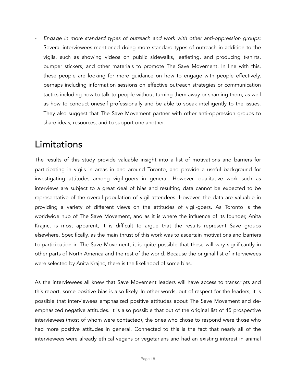- *Engage in more standard types of outreach and work with other anti-oppression groups*: Several interviewees mentioned doing more standard types of outreach in addition to the vigils, such as showing videos on public sidewalks, leafleting, and producing t-shirts, bumper stickers, and other materials to promote The Save Movement. In line with this, these people are looking for more guidance on how to engage with people effectively, perhaps including information sessions on effective outreach strategies or communication tactics including how to talk to people without turning them away or shaming them, as well as how to conduct oneself professionally and be able to speak intelligently to the issues. They also suggest that The Save Movement partner with other anti-oppression groups to share ideas, resources, and to support one another.

### Limitations

The results of this study provide valuable insight into a list of motivations and barriers for participating in vigils in areas in and around Toronto, and provide a useful background for investigating attitudes among vigil-goers in general. However, qualitative work such as interviews are subject to a great deal of bias and resulting data cannot be expected to be representative of the overall population of vigil attendees. However, the data are valuable in providing a variety of different views on the attitudes of vigil-goers. As Toronto is the worldwide hub of The Save Movement, and as it is where the influence of its founder, Anita Krajnc, is most apparent, it is difficult to argue that the results represent Save groups elsewhere. Specifically, as the main thrust of this work was to ascertain motivations and barriers to participation in The Save Movement, it is quite possible that these will vary significantly in other parts of North America and the rest of the world. Because the original list of interviewees were selected by Anita Krajnc, there is the likelihood of some bias.

As the interviewees all knew that Save Movement leaders will have access to transcripts and this report, some positive bias is also likely. In other words, out of respect for the leaders, it is possible that interviewees emphasized positive attitudes about The Save Movement and deemphasized negative attitudes. It is also possible that out of the original list of 45 prospective interviewees (most of whom were contacted), the ones who chose to respond were those who had more positive attitudes in general. Connected to this is the fact that nearly all of the interviewees were already ethical vegans or vegetarians and had an existing interest in animal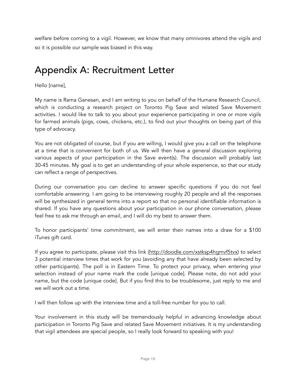welfare before coming to a vigil. However, we know that many omnivores attend the vigils and so it is possible our sample was biased in this way.

### Appendix A: Recruitment Letter

Hello [name],

My name is Rama Ganesan, and I am writing to you on behalf of the Humane Research Council, which is conducting a research project on Toronto Pig Save and related Save Movement activities. I would like to talk to you about your experience participating in one or more vigils for farmed animals (pigs, cows, chickens, etc.), to find out your thoughts on being part of this type of advocacy.

You are not obligated of course, but if you are willing, I would give you a call on the telephone at a time that is convenient for both of us. We will then have a general discussion exploring various aspects of your participation in the Save event(s). The discussion will probably last 30-45 minutes. My goal is to get an understanding of your whole experience, so that our study can reflect a range of perspectives.

During our conversation you can decline to answer specific questions if you do not feel comfortable answering. I am going to be interviewing roughly 20 people and all the responses will be synthesized in general terms into a report so that no personal identifiable information is shared. If you have any questions about your participation in our phone conversation, please feel free to ask me through an email, and I will do my best to answer them.

To honor participants' time commitment, we will enter their names into a draw for a \$100 iTunes gift card.

If you agree to participate, please visit this link (http://doodle.com/xstksp4hgmvf5tvx) to select 3 potential interview times that work for you (avoiding any that have already been selected by other participants). The poll is in Eastern Time. To protect your privacy, when entering your selection instead of your name mark the code [unique code]. Please note, do not add your name, but the code [unique code]. But if you find this to be troublesome, just reply to me and we will work out a time.

I will then follow up with the interview time and a toll-free number for you to call.

Your involvement in this study will be tremendously helpful in advancing knowledge about participation in Toronto Pig Save and related Save Movement initiatives. It is my understanding that vigil attendees are special people, so I really look forward to speaking with you!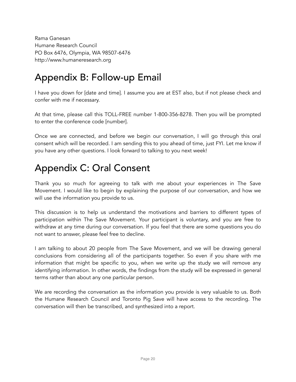Rama Ganesan Humane Research Council PO Box 6476, Olympia, WA 98507-6476 [http://www.humaneresearch.org](http://www.humaneresearch.org/)

### Appendix B: Follow-up Email

I have you down for [date and time]. I assume you are at EST also, but if not please check and confer with me if necessary.

At that time, please call this TOLL-FREE number 1-800-356-8278. Then you will be prompted to enter the conference code [number].

Once we are connected, and before we begin our conversation, I will go through this oral consent which will be recorded. I am sending this to you ahead of time, just FYI. Let me know if you have any other questions. I look forward to talking to you next week!

### Appendix C: Oral Consent

Thank you so much for agreeing to talk with me about your experiences in The Save Movement. I would like to begin by explaining the purpose of our conversation, and how we will use the information you provide to us.

This discussion is to help us understand the motivations and barriers to different types of participation within The Save Movement. Your participant is voluntary, and you are free to withdraw at any time during our conversation. If you feel that there are some questions you do not want to answer, please feel free to decline.

I am talking to about 20 people from The Save Movement, and we will be drawing general conclusions from considering all of the participants together. So even if you share with me information that might be specific to you, when we write up the study we will remove any identifying information. In other words, the findings from the study will be expressed in general terms rather than about any one particular person.

We are recording the conversation as the information you provide is very valuable to us. Both the Humane Research Council and Toronto Pig Save will have access to the recording. The conversation will then be transcribed, and synthesized into a report.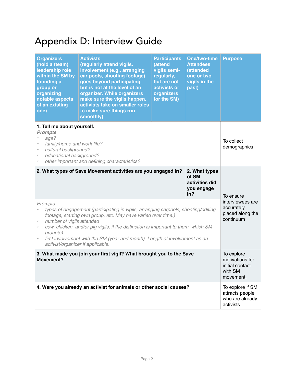## Appendix D: Interview Guide

| <b>Organizers</b><br>(hold a (team)<br>leadership role<br>within the SM by<br>founding a<br>group or<br>organizing<br>notable aspects<br>of an existing<br>one)                                                                                                                                                                                                                                                                                                                                                                                                                            | <b>Activists</b><br>(regularly attend vigils.<br>Involvement (e.g., arranging<br>car pools, shooting footage)<br>goes beyond participating,<br>but is not at the level of an<br>organizer. While organizers<br>make sure the vigils happen,<br>activists take on smaller roles<br>to make sure things run<br>smoothly) | <b>Participants</b><br>(attend<br>vigils semi-<br>regularly,<br>but are not<br>activists or<br>organizers<br>for the SM) | One/two-time<br><b>Attendees</b><br>(attended<br>one or two<br>vigils in the<br>past) | <b>Purpose</b>             |
|--------------------------------------------------------------------------------------------------------------------------------------------------------------------------------------------------------------------------------------------------------------------------------------------------------------------------------------------------------------------------------------------------------------------------------------------------------------------------------------------------------------------------------------------------------------------------------------------|------------------------------------------------------------------------------------------------------------------------------------------------------------------------------------------------------------------------------------------------------------------------------------------------------------------------|--------------------------------------------------------------------------------------------------------------------------|---------------------------------------------------------------------------------------|----------------------------|
| 1. Tell me about yourself.<br><b>Prompts</b><br>age?<br>family/home and work life?<br>cultural background?<br>$\pmb{\theta}$<br>educational background?<br>$\pmb{\theta}$<br>other important and defining characteristics?<br>$\pmb{\theta}$                                                                                                                                                                                                                                                                                                                                               |                                                                                                                                                                                                                                                                                                                        |                                                                                                                          |                                                                                       | To collect<br>demographics |
| 2. What types of Save Movement activities are you engaged in?<br>2. What types<br>of SM<br>activities did<br>you engage<br>in?<br>Prompts<br>types of engagement (participating in vigils, arranging carpools, shooting/editing<br>footage, starting own group, etc. May have varied over time.)<br>number of vigils attended<br>$\bullet$<br>cow, chicken, and/or pig vigils, if the distinction is important to them, which SM<br>$\bullet$<br>group(s)<br>first involvement with the SM (year and month). Length of involvement as an<br>$\bullet$<br>activist/organizer if applicable. |                                                                                                                                                                                                                                                                                                                        |                                                                                                                          | To ensure<br>interviewees are<br>accurately<br>placed along the<br>continuum          |                            |
| 3. What made you join your first vigil? What brought you to the Save<br>Movement?                                                                                                                                                                                                                                                                                                                                                                                                                                                                                                          |                                                                                                                                                                                                                                                                                                                        |                                                                                                                          | To explore<br>motivations for<br>initial contact<br>with SM<br>movement.              |                            |
| 4. Were you already an activist for animals or other social causes?                                                                                                                                                                                                                                                                                                                                                                                                                                                                                                                        |                                                                                                                                                                                                                                                                                                                        |                                                                                                                          | To explore if SM<br>attracts people<br>who are already<br>activists                   |                            |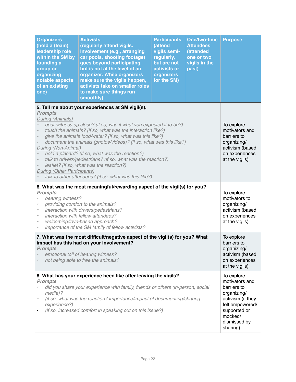| <b>Organizers</b><br>(hold a (team)<br>leadership role<br>within the SM by<br>founding a<br>group or<br>organizing<br>notable aspects<br>of an existing<br>one)                                                                                                                                                                                                                                                                                                                                                                                                                                                                                                                                                                                                           | <b>Activists</b><br>(regularly attend vigils.<br>Involvement (e.g., arranging<br>car pools, shooting footage)<br>goes beyond participating,<br>but is not at the level of an<br>organizer. While organizers<br>make sure the vigils happen,<br>activists take on smaller roles<br>to make sure things run<br>smoothly) | <b>Participants</b><br>(attend<br>vigils semi-<br>regularly,<br>but are not<br>activists or<br>organizers<br>for the SM) | <b>One/two-time</b><br><b>Attendees</b><br>(attended<br>one or two<br>vigils in the<br>past)                                                              | <b>Purpose</b>                                                                                                    |
|---------------------------------------------------------------------------------------------------------------------------------------------------------------------------------------------------------------------------------------------------------------------------------------------------------------------------------------------------------------------------------------------------------------------------------------------------------------------------------------------------------------------------------------------------------------------------------------------------------------------------------------------------------------------------------------------------------------------------------------------------------------------------|------------------------------------------------------------------------------------------------------------------------------------------------------------------------------------------------------------------------------------------------------------------------------------------------------------------------|--------------------------------------------------------------------------------------------------------------------------|-----------------------------------------------------------------------------------------------------------------------------------------------------------|-------------------------------------------------------------------------------------------------------------------|
| 5. Tell me about your experiences at SM vigil(s).<br><b>Prompts</b><br>During (Animals)<br>bear witness up close? (if so, was it what you expected it to be?)<br>$\bullet$<br>touch the animals? (if so, what was the interaction like?)<br>$\pmb{\sigma}$<br>give the animals food/water? (if so, what was this like?)<br>$\pmb{\sigma}$<br>document the animals (photos/videos)? (if so, what was this like?)<br>$\pmb{\sigma}$<br>During (Non-Animal)<br>hold a placard? (if so, what was the reaction?)<br>$\bullet$<br>talk to drivers/pedestrians? (if so, what was the reaction?)<br>$\bullet$<br>leaflet? (if so, what was the reaction?)<br>$\bullet$<br><b>During (Other Participants)</b><br>talk to other attendees? (if so, what was this like?)<br>$\theta$ |                                                                                                                                                                                                                                                                                                                        |                                                                                                                          |                                                                                                                                                           | To explore<br>motivators and<br>barriers to<br>organizing/<br>activism (based<br>on experiences<br>at the vigils) |
| 6. What was the most meaningful/rewarding aspect of the vigil(s) for you?<br><b>Prompts</b><br>bearing witness?<br>providing comfort to the animals?<br>interaction with drivers/pedestrians?<br>$\bullet$<br>interaction with fellow attendees?<br>$\bullet$<br>welcoming/love-based approach?<br>$\bullet$<br>importance of the SM family of fellow activists?                                                                                                                                                                                                                                                                                                                                                                                                          |                                                                                                                                                                                                                                                                                                                        |                                                                                                                          |                                                                                                                                                           | To explore<br>motivators to<br>organizing/<br>activism (based<br>on experiences<br>at the vigils)                 |
| 7. What was the most difficult/negative aspect of the vigil(s) for you? What<br>impact has this had on your involvement?<br><b>Prompts</b><br>emotional toll of bearing witness?<br>not being able to free the animals?                                                                                                                                                                                                                                                                                                                                                                                                                                                                                                                                                   |                                                                                                                                                                                                                                                                                                                        |                                                                                                                          |                                                                                                                                                           | To explore<br>barriers to<br>organizing/<br>activism (based<br>on experiences<br>at the vigils)                   |
| 8. What has your experience been like after leaving the vigils?<br><b>Prompts</b><br>did you share your experience with family, friends or others (in-person, social<br>media)?<br>(if so, what was the reaction? importance/impact of documenting/sharing<br>experience?)<br>(if so, increased comfort in speaking out on this issue?)                                                                                                                                                                                                                                                                                                                                                                                                                                   |                                                                                                                                                                                                                                                                                                                        |                                                                                                                          | To explore<br>motivators and<br>barriers to<br>organizing/<br>activism (if they<br>felt empowered/<br>supported or<br>mocked/<br>dismissed by<br>sharing) |                                                                                                                   |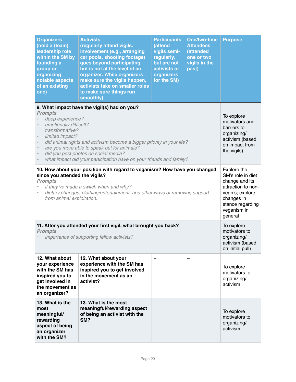| <b>Organizers</b><br>(hold a (team)<br>leadership role<br>within the SM by<br>founding a<br>group or<br>organizing<br>notable aspects<br>of an existing<br>one)                                                                                                                                                                                                                                                                                                                        | <b>Activists</b><br>(regularly attend vigils.<br>Involvement (e.g., arranging<br>car pools, shooting footage)<br>goes beyond participating,<br>but is not at the level of an<br>organizer. While organizers<br>make sure the vigils happen,<br>activists take on smaller roles<br>to make sure things run<br>smoothly) | <b>Participants</b><br>(attend<br>vigils semi-<br>regularly,<br>but are not<br>activists or<br>organizers<br>for the SM) | <b>One/two-time</b><br><b>Attendees</b><br>(attended<br>one or two<br>vigils in the<br>past) | <b>Purpose</b>                                                                                                                                          |
|----------------------------------------------------------------------------------------------------------------------------------------------------------------------------------------------------------------------------------------------------------------------------------------------------------------------------------------------------------------------------------------------------------------------------------------------------------------------------------------|------------------------------------------------------------------------------------------------------------------------------------------------------------------------------------------------------------------------------------------------------------------------------------------------------------------------|--------------------------------------------------------------------------------------------------------------------------|----------------------------------------------------------------------------------------------|---------------------------------------------------------------------------------------------------------------------------------------------------------|
| 9. What impact have the vigil(s) had on you?<br><b>Prompts</b><br>deep experience?<br>emotionally difficult?<br>$\pmb{\sigma}$<br>transformative?<br>limited impact?<br>$\boldsymbol{\theta}$<br>did animal rights and activism become a bigger priority in your life?<br>$\bullet$<br>are you more able to speak out for animals?<br>$\theta$<br>did you post photos on social media?<br>$\theta$<br>what impact did your participation have on your friends and family?<br>$\bullet$ |                                                                                                                                                                                                                                                                                                                        |                                                                                                                          |                                                                                              | To explore<br>motivators and<br>barriers to<br>organizing/<br>activism (based<br>on impact from<br>the vigils)                                          |
| 10. How about your position with regard to veganism? How have you changed<br>since you attended the vigils?<br><b>Prompts</b><br>if they've made a switch when and why?<br>dietary changes, clothing/entertainment, and other ways of removing support<br>from animal exploitation.                                                                                                                                                                                                    |                                                                                                                                                                                                                                                                                                                        |                                                                                                                          |                                                                                              | Explore the<br>SM's role in diet<br>change and its<br>attraction to non-<br>vegn's; explore<br>changes in<br>stance regarding<br>veganism in<br>general |
| 11. After you attended your first vigil, what brought you back?<br><b>Prompts</b><br>importance of supporting fellow activists?                                                                                                                                                                                                                                                                                                                                                        |                                                                                                                                                                                                                                                                                                                        |                                                                                                                          |                                                                                              | To explore<br>motivators to<br>organizing/<br>activism (based<br>on initial pull)                                                                       |
| 12. What about<br>your experience<br>with the SM has<br>inspired you to<br>get involved in<br>the movement as<br>an organizer?                                                                                                                                                                                                                                                                                                                                                         | 12. What about your<br>experience with the SM has<br>inspired you to get involved<br>in the movement as an<br>activist?                                                                                                                                                                                                |                                                                                                                          |                                                                                              | To explore<br>motivators to<br>organizing/<br>activism                                                                                                  |
| 13. What is the<br>most<br>meaningful/<br>rewarding<br>aspect of being<br>an organizer<br>with the SM?                                                                                                                                                                                                                                                                                                                                                                                 | 13. What is the most<br>meaningful/rewarding aspect<br>of being an activist with the<br>SM?                                                                                                                                                                                                                            |                                                                                                                          |                                                                                              | To explore<br>motivators to<br>organizing/<br>activism                                                                                                  |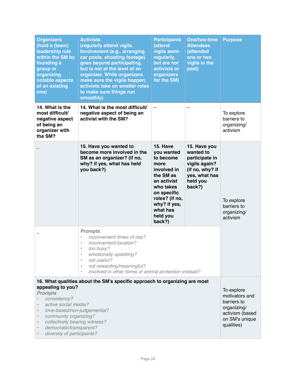| <b>Organizers</b><br>(hold a (team)<br>leadership role<br>within the SM by<br>founding a<br>group or<br>organizing<br>notable aspects<br>of an existing<br>one)                                                                                                                                                                                                                             | <b>Activists</b><br>(regularly attend vigils.<br>Involvement (e.g., arranging<br>car pools, shooting footage)<br>goes beyond participating,<br>but is not at the level of an<br>organizer. While organizers<br>make sure the vigils happen,<br>activists take on smaller roles<br>to make sure things run<br>smoothly) | <b>Participants</b><br>(attend<br>vigils semi-<br>regularly,<br>but are not<br>activists or<br>organizers<br>for the SM)                                                               | <b>One/two-time</b><br><b>Attendees</b><br>(attended<br>one or two<br>vigils in the<br>past)                           | <b>Purpose</b>                                       |
|---------------------------------------------------------------------------------------------------------------------------------------------------------------------------------------------------------------------------------------------------------------------------------------------------------------------------------------------------------------------------------------------|------------------------------------------------------------------------------------------------------------------------------------------------------------------------------------------------------------------------------------------------------------------------------------------------------------------------|----------------------------------------------------------------------------------------------------------------------------------------------------------------------------------------|------------------------------------------------------------------------------------------------------------------------|------------------------------------------------------|
| 14. What is the<br>most difficult/<br>negative aspect<br>of being an<br>organizer with<br>the SM?                                                                                                                                                                                                                                                                                           | 14. What is the most difficult/<br>negative aspect of being an<br>activist with the SM?                                                                                                                                                                                                                                |                                                                                                                                                                                        | —                                                                                                                      | To explore<br>barriers to<br>organizing/<br>activism |
|                                                                                                                                                                                                                                                                                                                                                                                             | 15. Have you wanted to<br>become more involved in the<br>SM as an organizer? (if no,<br>why? if yes, what has held<br>you back?)                                                                                                                                                                                       | 15. Have<br>you wanted<br>to become<br>more<br>involved in<br>the SM as<br>an activist<br>who takes<br>on specific<br>roles? (if no,<br>why? if yes,<br>what has<br>held you<br>back?) | 15. Have you<br>wanted to<br>participate in<br>vigils again?<br>(if no, why? if<br>yes, what has<br>held you<br>back?) | To explore<br>barriers to<br>organizing/<br>activism |
|                                                                                                                                                                                                                                                                                                                                                                                             | <b>Prompts</b><br>inconvenient times of day?<br>$\theta$<br>inconvenient location?<br>$\bullet$<br>too busy?<br>$\bullet$<br>emotionally upsetting?<br>$\bullet$<br>not useful?<br>$\bullet$<br>not rewarding/meaningful?<br>$\bullet$<br>involved in other forms of animal protection instead?<br>$\bullet$           |                                                                                                                                                                                        |                                                                                                                        |                                                      |
| 16. What qualities about the SM's specific approach to organizing are most<br>appealing to you?<br><b>Prompts</b><br>consistency?<br>active social media?<br>love-based/non-judgemental?<br>$\bullet$<br>community organizing?<br>$\bullet$<br>collectively bearing witness?<br>$\pmb{\theta}$<br>democratic/transparent?<br>$\pmb{\theta}$<br>diversity of participants?<br>$\pmb{\theta}$ |                                                                                                                                                                                                                                                                                                                        |                                                                                                                                                                                        | To explore<br>motivators and<br>barriers to<br>organizing/<br>activism (based<br>on SM's unique<br>qualities)          |                                                      |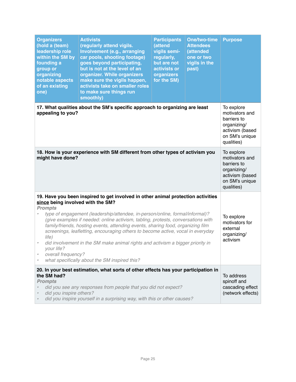| <b>Organizers</b><br>(hold a (team)<br>leadership role<br>within the SM by<br>founding a<br>group or<br>organizing<br>notable aspects<br>of an existing<br>one)                                                                                                                                                                                                                                                                                                                                                                                                                                                                                                                | <b>Activists</b><br>(regularly attend vigils.<br>Involvement (e.g., arranging<br>car pools, shooting footage)<br>goes beyond participating,<br>but is not at the level of an<br>organizer. While organizers<br>make sure the vigils happen,<br>activists take on smaller roles<br>to make sure things run<br>smoothly) | <b>Participants</b><br>(attend<br>vigils semi-<br>regularly,<br>but are not<br>activists or<br>organizers<br>for the SM) | <b>One/two-time</b><br><b>Attendees</b><br>(attended<br>one or two<br>vigils in the<br>past) | <b>Purpose</b>                                                                                                |
|--------------------------------------------------------------------------------------------------------------------------------------------------------------------------------------------------------------------------------------------------------------------------------------------------------------------------------------------------------------------------------------------------------------------------------------------------------------------------------------------------------------------------------------------------------------------------------------------------------------------------------------------------------------------------------|------------------------------------------------------------------------------------------------------------------------------------------------------------------------------------------------------------------------------------------------------------------------------------------------------------------------|--------------------------------------------------------------------------------------------------------------------------|----------------------------------------------------------------------------------------------|---------------------------------------------------------------------------------------------------------------|
| 17. What qualities about the SM's specific approach to organizing are least<br>appealing to you?                                                                                                                                                                                                                                                                                                                                                                                                                                                                                                                                                                               |                                                                                                                                                                                                                                                                                                                        |                                                                                                                          |                                                                                              | To explore<br>motivators and<br>barriers to<br>organizing/<br>activism (based<br>on SM's unique<br>qualities) |
| 18. How is your experience with SM different from other types of activism you<br>might have done?                                                                                                                                                                                                                                                                                                                                                                                                                                                                                                                                                                              |                                                                                                                                                                                                                                                                                                                        |                                                                                                                          |                                                                                              | To explore<br>motivators and<br>barriers to<br>organizing/<br>activism (based<br>on SM's unique<br>qualities) |
| 19. Have you been inspired to get involved in other animal protection activities<br>since being involved with the SM?<br><b>Prompts</b><br>type of engagement (leadership/attendee, in-person/online, formal/informal)?<br>(give examples if needed: online activism, tabling, protests, conversations with<br>family/friends, hosting events, attending events, sharing food, organizing film<br>screenings, leafletting, encouraging others to become active, vocal in everyday<br>life)<br>did involvement in the SM make animal rights and activism a bigger priority in<br>$\bullet$<br>your life?<br>overall frequency?<br>what specifically about the SM inspired this? |                                                                                                                                                                                                                                                                                                                        |                                                                                                                          |                                                                                              | To explore<br>motivators for<br>external<br>organizing/<br>activism                                           |
| 20. In your best estimation, what sorts of other effects has your participation in<br>the SM had?<br><b>Prompts</b><br>did you see any responses from people that you did not expect?<br>did you inspire others?<br>did you inspire yourself in a surprising way, with this or other causes?                                                                                                                                                                                                                                                                                                                                                                                   |                                                                                                                                                                                                                                                                                                                        |                                                                                                                          |                                                                                              | To address<br>spinoff and<br>cascading effect<br>(network effects)                                            |